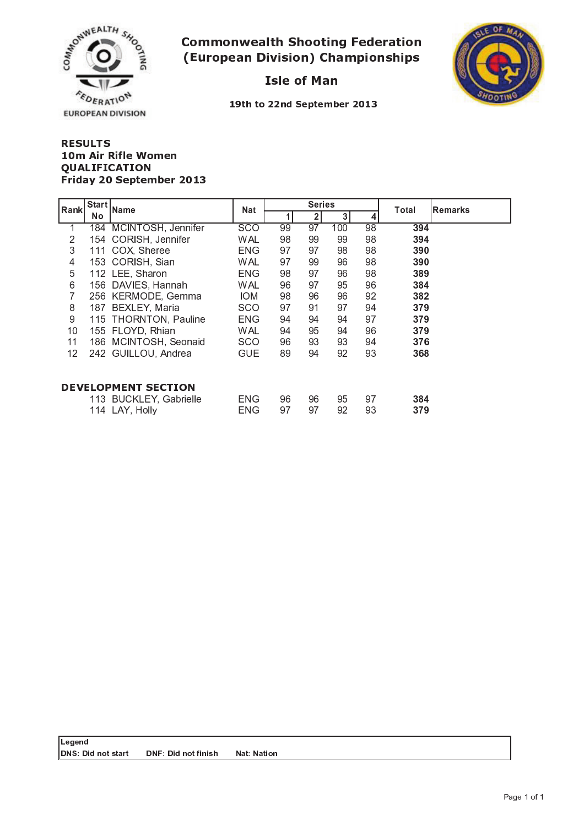

## - -  . . . . . . . . . . . . . .

\_ \_ \_ \_



19th to 22nd September 201

#### + , - . / <sup>0</sup> - ----------4 <sup>8</sup> <sup>9</sup> : ; <sup>&</sup>lt; <sup>=</sup> <sup>&</sup>gt; - ? @ <sup>A</sup> ? <sup>B</sup> <sup>C</sup> ? <sup>8</sup> <sup>=</sup> <sup>&</sup>gt; <sup>D</sup> <sup>E</sup> D <sup>&</sup>gt; <sup>B</sup> <sup>2</sup> <sup>9</sup> <sup>8</sup> <sup>+</sup> <sup>9</sup> ? <sup>B</sup> ?

| Rank                       | Start     | Name                   | <b>Nat</b> |    | <b>Series</b>  |     |    | <b>Remarks</b><br>Total |  |
|----------------------------|-----------|------------------------|------------|----|----------------|-----|----|-------------------------|--|
|                            | <b>No</b> |                        |            | 1  | 2 <sup>1</sup> | 3   | 4  |                         |  |
| 1                          | 184       | MCINTOSH, Jennifer     | <b>SCO</b> | 99 | 97             | 100 | 98 | 394                     |  |
| 2                          |           | 154 CORISH, Jennifer   | <b>WAL</b> | 98 | 99             | 99  | 98 | 394                     |  |
| 3                          | 111       | COX, Sheree            | ENG        | 97 | 97             | 98  | 98 | 390                     |  |
| $\overline{4}$             |           | 153 CORISH, Sian       | <b>WAL</b> | 97 | 99             | 96  | 98 | 390                     |  |
| 5                          |           | 112 LEE, Sharon        | ENG        | 98 | 97             | 96  | 98 | 389                     |  |
| 6                          |           | 156 DAVIES, Hannah     | <b>WAL</b> | 96 | 97             | 95  | 96 | 384                     |  |
| 7                          |           | 256 KERMODE, Gemma     | IOM.       | 98 | 96             | 96  | 92 | 382                     |  |
| 8                          |           | 187 BEXLEY, Maria      | <b>SCO</b> | 97 | 91             | 97  | 94 | 379                     |  |
| $9\,$                      |           | 115 THORNTON, Pauline  | <b>ENG</b> | 94 | 94             | 94  | 97 | 379                     |  |
| 10                         |           | 155 FLOYD, Rhian       | <b>WAL</b> | 94 | 95             | 94  | 96 | 379                     |  |
| 11                         |           | 186 MCINTOSH, Seonaid  | <b>SCO</b> | 96 | 93             | 93  | 94 | 376                     |  |
| 12                         |           | 242 GUILLOU, Andrea    | <b>GUE</b> | 89 | 94             | 92  | 93 | 368                     |  |
|                            |           |                        |            |    |                |     |    |                         |  |
| <b>DEVELOPMENT SECTION</b> |           |                        |            |    |                |     |    |                         |  |
|                            |           | 113 BUCKLEY, Gabrielle | ENG        | 96 | 96             | 95  | 97 | 384                     |  |
|                            |           | 114 LAY, Holly         | ENG        | 97 | 97             | 92  | 93 | 379                     |  |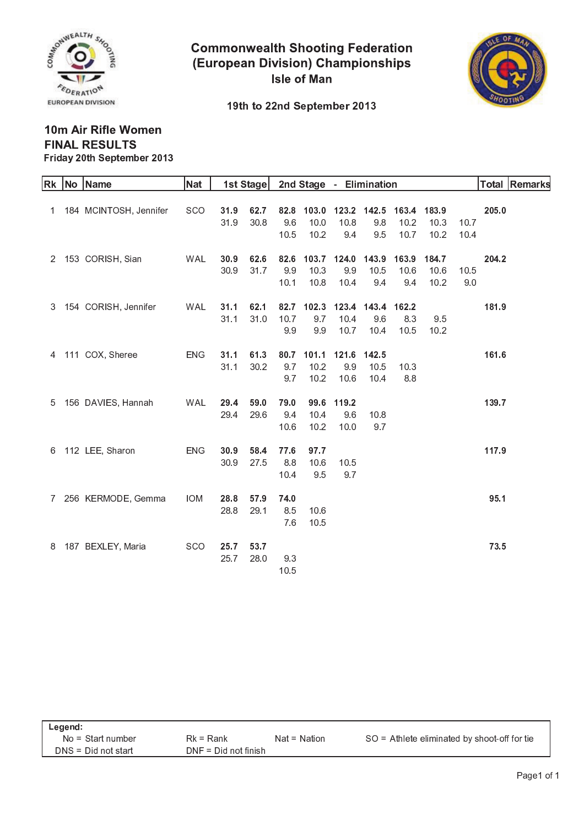

**Commonwealth Shooting Federation** (European Division) Championships **Isle of Man** 



19th to 22nd September 2013

### 10m Air Rifle Women **FINAL RESULTS** Friday 20th September 2013

| Rk             | No Name                  | Nat        |      | 1st Stage |      | 2nd Stage - Elimination |                         |       |             |       |      |       | Total Remarks |
|----------------|--------------------------|------------|------|-----------|------|-------------------------|-------------------------|-------|-------------|-------|------|-------|---------------|
|                |                          |            |      |           |      |                         |                         |       |             |       |      |       |               |
|                | 1 184 MCINTOSH, Jennifer | <b>SCO</b> | 31.9 | 62.7      | 82.8 |                         | 103.0 123.2 142.5 163.4 |       |             | 183.9 |      | 205.0 |               |
|                |                          |            | 31.9 | 30.8      | 9.6  | 10.0                    | 10.8                    | 9.8   | 10.2        | 10.3  | 10.7 |       |               |
|                |                          |            |      |           | 10.5 | 10.2                    | 9.4                     | 9.5   | 10.7        | 10.2  | 10.4 |       |               |
|                |                          |            |      |           |      |                         |                         |       |             |       |      |       |               |
| $\overline{2}$ | 153 CORISH, Sian         | WAL        | 30.9 | 62.6      | 82.6 |                         | 103.7 124.0             |       | 143.9 163.9 | 184.7 |      | 204.2 |               |
|                |                          |            | 30.9 | 31.7      | 9.9  | 10.3                    | 9.9                     | 10.5  | 10.6        | 10.6  | 10.5 |       |               |
|                |                          |            |      |           | 10.1 | 10.8                    | 10.4                    | 9.4   | 9.4         | 10.2  | 9.0  |       |               |
|                |                          |            |      |           |      |                         |                         |       |             |       |      |       |               |
| 3              | 154 CORISH, Jennifer     | WAL        | 31.1 | 62.1      | 82.7 | 102.3                   | 123.4                   | 143.4 | 162.2       |       |      | 181.9 |               |
|                |                          |            | 31.1 | 31.0      | 10.7 | 9.7                     | 10.4                    | 9.6   | 8.3         | 9.5   |      |       |               |
|                |                          |            |      |           | 9.9  | 9.9                     | 10.7                    | 10.4  | 10.5        | 10.2  |      |       |               |
|                |                          |            |      |           |      |                         |                         |       |             |       |      |       |               |
| 4              | 111 COX, Sheree          | <b>ENG</b> | 31.1 | 61.3      | 80.7 | 101.1                   | 121.6                   | 142.5 |             |       |      | 161.6 |               |
|                |                          |            | 31.1 | 30.2      | 9.7  | 10.2                    | 9.9                     | 10.5  | 10.3        |       |      |       |               |
|                |                          |            |      |           | 9.7  | 10.2                    | 10.6                    | 10.4  | 8.8         |       |      |       |               |
|                |                          |            |      |           |      |                         |                         |       |             |       |      |       |               |
| 5              | 156 DAVIES, Hannah       | <b>WAL</b> | 29.4 | 59.0      | 79.0 | 99.6                    | 119.2                   |       |             |       |      | 139.7 |               |
|                |                          |            | 29.4 | 29.6      | 9.4  | 10.4                    | 9.6                     | 10.8  |             |       |      |       |               |
|                |                          |            |      |           | 10.6 | 10.2                    | 10.0                    | 9.7   |             |       |      |       |               |
|                |                          |            |      |           |      |                         |                         |       |             |       |      |       |               |
| 6              | 112 LEE, Sharon          | <b>ENG</b> | 30.9 | 58.4      | 77.6 | 97.7                    |                         |       |             |       |      | 117.9 |               |
|                |                          |            | 30.9 | 27.5      | 8.8  | 10.6                    | 10.5                    |       |             |       |      |       |               |
|                |                          |            |      |           | 10.4 | 9.5                     | 9.7                     |       |             |       |      |       |               |
| 7              | 256 KERMODE, Gemma       | <b>IOM</b> | 28.8 | 57.9      | 74.0 |                         |                         |       |             |       |      | 95.1  |               |
|                |                          |            | 28.8 | 29.1      | 8.5  | 10.6                    |                         |       |             |       |      |       |               |
|                |                          |            |      |           | 7.6  | 10.5                    |                         |       |             |       |      |       |               |
|                |                          |            |      |           |      |                         |                         |       |             |       |      |       |               |
| 8              | 187 BEXLEY, Maria        | <b>SCO</b> | 25.7 | 53.7      |      |                         |                         |       |             |       |      | 73.5  |               |
|                |                          |            | 25.7 | 28.0      | 9.3  |                         |                         |       |             |       |      |       |               |
|                |                          |            |      |           | 10.5 |                         |                         |       |             |       |      |       |               |
|                |                          |            |      |           |      |                         |                         |       |             |       |      |       |               |

| Legend:               |                        |                |                                              |  |  |  |  |  |  |  |
|-----------------------|------------------------|----------------|----------------------------------------------|--|--|--|--|--|--|--|
| $No = Start number$   | $Rk = Rank$            | $Nat = Nation$ | SO = Athlete eliminated by shoot-off for tie |  |  |  |  |  |  |  |
| $DNS = Did not start$ | $DNF = Did not finish$ |                |                                              |  |  |  |  |  |  |  |